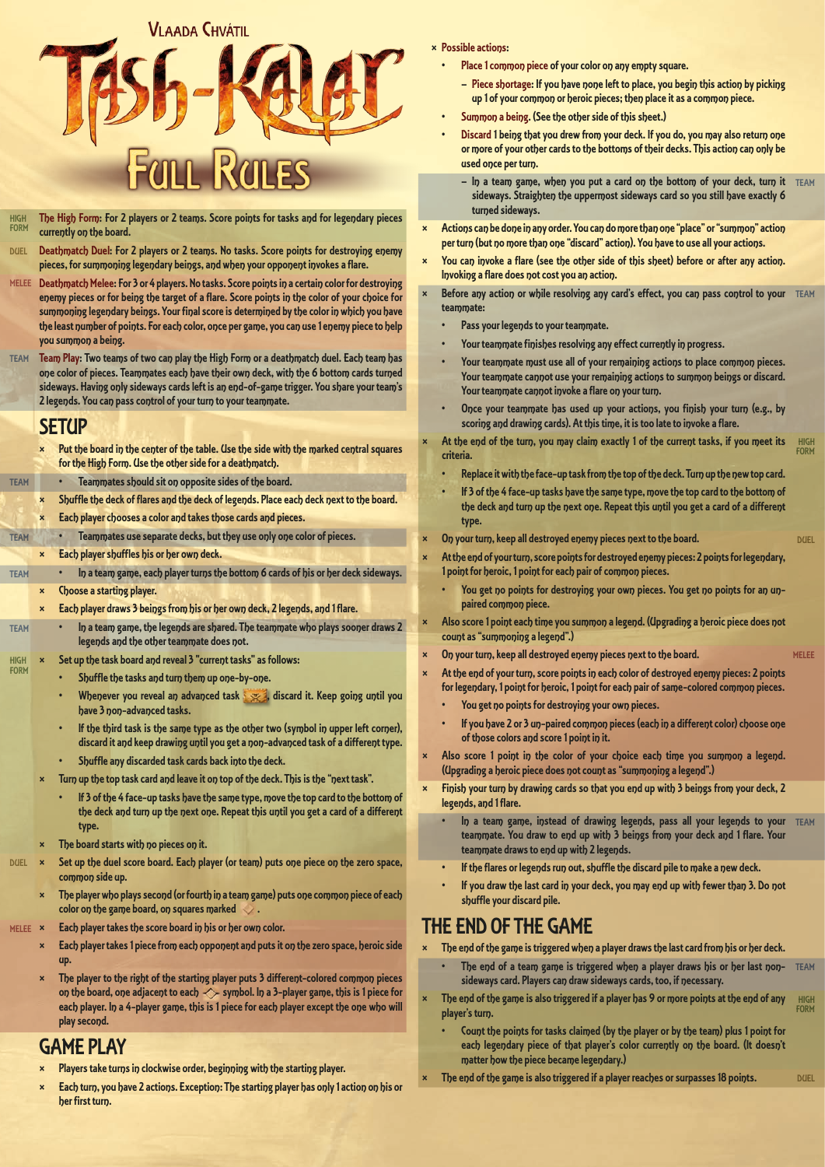# **VI AADA CHVÁTIL FULL RULES**

- HIGH FORM The High Form: For 2 players or 2 teams. Score points for tasks and for legendary pieces currently on the board.
- **DUEL** Deathmatch Duel: For 2 players or 2 teams. No tasks. Score points for destroying enemy pieces, for summoning legendary beings, and when your opponent invokes a flare.
- MELEE Deathmatch Melee: For 3 or 4 players. No tasks. Score points in a certain color for destroying enemy pieces or for being the target of a flare. Score points in the color of your choice for summoning legendary beings. Your final score is determined by the color in which you have the least number of points. For each color, once per game, you can use 1 enemy piece to help you summon a being.
- TEAM Team Play: Two teams of two can play the High Form or a deathmatch duel. Each team has one color of pieces. Teammates each have their own deck, with the 6 bottom cards turned sideways. Having only sideways cards left is an end-of-game trigger. You share your team's 2 legends. You can pass control of your turn to your teammate.

#### **SETUP**

TEAM

- × Put the board in the center of the table. Use the side with the marked central squares for the High Form. Use the other side for a deathmatch.
- TEAM Teammates should sit on opposite sides of the board.
- Shuffle the deck of flares and the deck of legends. Place each deck next to the board.
- Each player chooses a color and takes those cards and pieces.
- TEAM • Teammates use separate decks, but they use only one color of pieces.
	- × Each player shuffles his or her own deck.
		- In a team game, each player turns the bottom 6 cards of his or her deck sideways. **Choose a starting player.**
	- × Each player draws 3 beings from his or her own deck, 2 legends, and 1 flare.
- TEAM • In a team game, the legends are shared. The teammate who plays sooner draws 2 legends and the other teammate does not.
- HIGH FORM Set up the task board and reveal 3 "current tasks" as follows:
	- Shuffle the tasks and turn them up one-by-one.
	- Whenever you reveal an advanced task , is discard it. Keep going until you have 3 non-advanced tasks.
	- If the third task is the same type as the other two (symbol in upper left corner), discard it and keep drawing until you get a non-advanced task of a different type.
	- Shuffle any discarded task cards back into the deck.
	- Turn up the top task card and leave it on top of the deck. This is the "next task".
		- If 3 of the 4 face-up tasks have the same type, move the top card to the bottom of the deck and turn up the next one. Repeat this until you get a card of a different type.
	- The board starts with no pieces on it.
- DUEL X Set up the duel score board. Each player (or team) puts one piece on the zero space, common side up.
	- The player who plays second (or fourth in a team game) puts one common piece of each color on the game board, on squares marked  $\blacktriangledown$ .
- MELEE X Each player takes the score board in his or her own color.
	- Each player takes 1 piece from each opponent and puts it on the zero space, heroic side up.
	- The player to the right of the starting player puts 3 different-colored common pieces on the board, one adjacent to each  $\Diamond$  symbol. In a 3-player game, this is 1 piece for each player. In a 4-player game, this is 1 piece for each player except the one who will play second.

## GAME PLAY

- Players take turns in clockwise order, beginning with the starting player.
- Each turn, you have 2 actions. Exception: The starting player has only 1 action on his or her first turn.
- × Possible actions:
	- Place 1 common piece of your color on any empty square.
		- Piece shortage: If you have none left to place, you begin this action by picking up 1 of your common or heroic pieces; then place it as a common piece.
	- Summon a being. (See the other side of this sheet.)
	- Discard 1 being that you drew from your deck. If you do, you may also return one or more of your other cards to the bottoms of their decks. This action can only be used once per turn.
		- $-$  ln a team game, when you put a card on the bottom of your deck, turn it TEAM sideways. Straighten the uppermost sideways card so you still have exactly 6 turned sideways.
- Actions can be done in any order. You can do more than one "place" or "summon" action per turn (but no more than one "discard" action). You have to use all your actions.
- You can invoke a flare (see the other side of this sheet) before or after any action. Invoking a flare does not cost you an action.
- **× Before any action or while resolving any card's effect, you can pass control to your** TEAM teammate:
	- Pass your legends to your teammate.
	- Your teammate finishes resolving any effect currently in progress.
	- Your teammate must use all of your remaining actions to place common pieces. Your teammate cannot use your remaining actions to summon beings or discard. Your teammate cannot invoke a flare on your turn.
	- Once your teammate has used up your actions, you finish your turn (e.g., by scoring and drawing cards). At this time, it is too late to invoke a flare.
	- HIGH FORM At the end of the turn, you may claim exactly 1 of the current tasks, if you meet its criteria.
	- Replace it with the face-up task from the top of the deck. Turn up the new top card.

DUEL

MELEE

DUEL

- If 3 of the 4 face-up tasks have the same type, move the top card to the bottom of the deck and turn up the next one. Repeat this until you get a card of a different type.
- On your turn, keep all destroyed enemy pieces next to the board.
- At the end of your turn, score points for destroyed enemy pieces: 2 points for legendary, 1 point for heroic, 1 point for each pair of common pieces.
	- You get no points for destroying your own pieces. You get no points for an unpaired common piece.
- Also score 1 point each time you summon a legend. (Upgrading a heroic piece does not count as "summoning a legend".)
- On your turn, keep all destroyed enemy pieces next to the board.
	- At the end of your turn, score points in each color of destroyed enemy pieces: 2 points for legendary, 1 point for heroic, 1 point for each pair of same-colored common pieces.
	- You get no points for destroying your own pieces.
	- If you have 2 or 3 un-paired common pieces (each in a different color) choose one of those colors and score 1 point in it.
- Also score 1 point in the color of your choice each time you summon a legend. (Upgrading a heroic piece does not count as "summoning a legend".)
- Finish your turn by drawing cards so that you end up with 3 beings from your deck, 2 legends, and 1 flare.
	- In a team game, instead of drawing legends, pass all your legends to your TEAM teammate. You draw to end up with 3 beings from your deck and 1 flare. Your teammate draws to end up with 2 legends.
	- If the flares or legends run out, shuffle the discard pile to make a new deck.
	- If you draw the last card in your deck, you may end up with fewer than 3. Do not shuffle your discard pile.

#### THE END OF THE GAME

The end of the game is triggered when a player draws the last card from his or her deck.

- The end of a team game is triggered when a player draws his or her last non- TEAM sideways card. Players can draw sideways cards, too, if necessary.
- HIGH FORM The end of the game is also triggered if a player has 9 or more points at the end of any player's turn.
	- Count the points for tasks claimed (by the player or by the team) plus 1 point for each legendary piece of that player's color currently on the board. (It doesn't matter how the piece became legendary.)
- The end of the game is also triggered if a player reaches or surpasses 18 points.